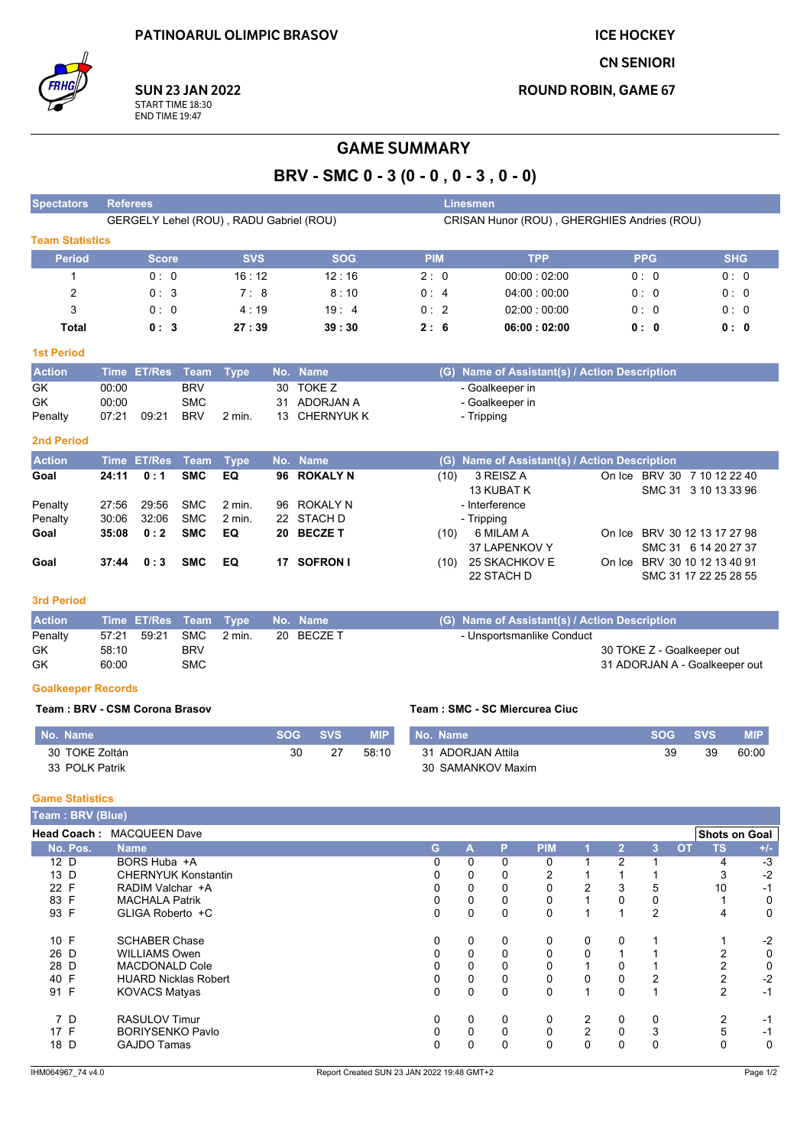**ICE HOCKEY** 

**CN SENIORI** 

**ROUND ROBIN, GAME 67** 



# **GAME SUMMARY**

BRV - SMC 0 - 3 (0 - 0, 0 - 3, 0 - 0)

| <b>Spectators</b>      | <b>Referees</b>                         |            |            |            | Linesmen                                    |            |            |  |  |  |  |
|------------------------|-----------------------------------------|------------|------------|------------|---------------------------------------------|------------|------------|--|--|--|--|
|                        | GERGELY Lehel (ROU), RADU Gabriel (ROU) |            |            |            | CRISAN Hunor (ROU), GHERGHIES Andries (ROU) |            |            |  |  |  |  |
| <b>Team Statistics</b> |                                         |            |            |            |                                             |            |            |  |  |  |  |
| <b>Period</b>          | <b>Score</b>                            | <b>SVS</b> | <b>SOG</b> | <b>PIM</b> | <b>TPP</b>                                  | <b>PPG</b> | <b>SHG</b> |  |  |  |  |
|                        | 0:0                                     | 16:12      | 12:16      | 2:0        | 00:00:02:00                                 | 0:0        | 0:0        |  |  |  |  |
| 2                      | 0:3                                     | 7:8        | 8:10       | 0:4        | 04:00:00:00                                 | 0:0        | 0:0        |  |  |  |  |
| 3                      | 0:0                                     | 4:19       | 19:4       | 0:2        | 02:00:00:00                                 | 0:0        | 0:0        |  |  |  |  |
| Total                  | 0:3                                     | 27:39      | 39:30      | 2:6        | 06:00:02:00                                 | 0: 0       | 0: 0       |  |  |  |  |

#### **1st Period**

| <b>Action</b> |       | Time ET/Res Team Type |            |        | No. Name      | (G) Name of Assistant(s) / Action Description |
|---------------|-------|-----------------------|------------|--------|---------------|-----------------------------------------------|
| GK            | 00:00 |                       | <b>BRV</b> |        | 30 TOKE Z     | - Goalkeeper in                               |
| GK            | 00:00 |                       | SMC        |        | 31 ADORJAN A  | - Goalkeeper in                               |
| Penalty       | 07:21 | 09:21                 | <b>BRV</b> | 2 min. | 13 CHERNYUK K | - Tripping                                    |

### 2nd Period

| <b>Action</b> |       | Time ET/Res Team Type |            |                   | No. Name    |      | (G) Name of Assistant(s) / Action Description |                              |
|---------------|-------|-----------------------|------------|-------------------|-------------|------|-----------------------------------------------|------------------------------|
| Goal          | 24:11 | 0:1                   | <b>SMC</b> | EQ.               | 96 ROKALY N | (10) | 3 REISZ A                                     | On Ice BRV 30 7 10 12 22 40  |
|               |       |                       |            |                   |             |      | 13 KUBAT K                                    | SMC 31 3 10 13 33 96         |
| Penalty       | 27:56 | 29:56                 | <b>SMC</b> | $2 \text{ min}$ . | 96 ROKALY N |      | - Interference                                |                              |
| Penalty       | 30:06 | 32:06                 | <b>SMC</b> | $2$ min.          | 22 STACH D  |      | - Tripping                                    |                              |
| Goal          | 35:08 | 0:2                   | <b>SMC</b> | EQ                | 20 BECZE T  | (10) | 6 MILAM A                                     | On Ice BRV 30 12 13 17 27 98 |
|               |       |                       |            |                   |             |      | 37 LAPENKOV Y                                 | SMC 31 6 14 20 27 37         |
| Goal          | 37:44 | 0:3                   | <b>SMC</b> | EQ.               | 17 SOFRON I | (10) | 25 SKACHKOV E                                 | On Ice BRV 30 10 12 13 40 91 |
|               |       |                       |            |                   |             |      | 22 STACH D                                    | SMC 31 17 22 25 28 55        |

## 3rd Period

| <b>Action</b> | Time ET/Res Team Type No. Name |            |        |            | (G) Name of Assistant(s) / Action Description |
|---------------|--------------------------------|------------|--------|------------|-----------------------------------------------|
| Penalty       | 57:21 59:21                    | SMC        | 2 min. | 20 BECZE T | - Unsportsmanlike Conduct                     |
| GK            | 58:10                          | <b>BRV</b> |        |            | 30 TOKE Z - Goalkeeper out                    |
| GK            | 60:00                          | SMC        |        |            | 31 ADORJAN A - Goalkeeper out                 |

#### **Goalkeeper Records**

#### Team: BRV - CSM Corona Brasov

| No. Name       | <b>SOG</b> | <b>SVS</b> | <b>MIP</b> | <b>No. Name</b>      | SOG | <b>SVS</b> | <b>MIP</b> |
|----------------|------------|------------|------------|----------------------|-----|------------|------------|
| 30 TOKE Zoltán | 30         | 27         | 58:10      | ADORJAN Attila<br>31 | 39  | 39         | 60:00      |
| 33 POLK Patrik |            |            |            | 30 SAMANKOV Maxim    |     |            |            |

Team: SMC - SC Miercurea Ciuc

### **Game Statistics**

| Team: BRV (Blue)   |                             |              |   |   |            |                |              |   |           |                      |       |
|--------------------|-----------------------------|--------------|---|---|------------|----------------|--------------|---|-----------|----------------------|-------|
| <b>Head Coach:</b> | <b>MACQUEEN Dave</b>        |              |   |   |            |                |              |   |           | <b>Shots on Goal</b> |       |
| No. Pos.           | <b>Name</b>                 | G            | A | P | <b>PIM</b> |                | $\mathbf{2}$ | 3 | <b>OT</b> | <b>TS</b>            | $+/-$ |
| 12 D               | BORS Huba +A                | $\mathbf{0}$ | 0 | 0 | 0          |                | 2            |   |           | 4                    | $-3$  |
| 13 D               | <b>CHERNYUK Konstantin</b>  | 0            | 0 | 0 | 2          |                |              |   |           | 3                    | $-2$  |
| 22 F               | RADIM Valchar +A            | 0            | 0 | 0 | 0          | 2              | 3            | 5 |           | 10                   | $-1$  |
| 83 F               | <b>MACHALA Patrik</b>       | 0            | 0 | 0 | 0          |                | $\Omega$     | 0 |           |                      | 0     |
| 93 F               | GLIGA Roberto +C            | 0            | 0 | 0 | 0          |                |              | 2 |           | 4                    | 0     |
| 10 F               | <b>SCHABER Chase</b>        | 0            | 0 | 0 | 0          | 0              | 0            |   |           |                      | $-2$  |
| 26 D               | <b>WILLIAMS Owen</b>        | 0            | 0 | 0 | 0          | $\Omega$       |              |   |           |                      | 0     |
| 28 D               | <b>MACDONALD Cole</b>       | $\Omega$     | 0 |   | 0          |                |              |   |           |                      | 0     |
| 40 F               | <b>HUARD Nicklas Robert</b> | 0            | 0 | 0 | 0          | 0              | $\Omega$     | 2 |           | 2                    | $-2$  |
| 91 F               | <b>KOVACS Matyas</b>        | $\mathbf{0}$ | 0 | 0 | $\Omega$   | $\overline{A}$ | $\Omega$     |   |           | $\overline{2}$       | $-1$  |
| 7 D                | <b>RASULOV Timur</b>        | 0            | 0 | 0 | 0          | 2              | 0            | 0 |           | 2                    | $-1$  |
| 17 F               | <b>BORIYSENKO Pavlo</b>     | $\Omega$     | 0 | 0 | 0          | $\overline{2}$ | $\Omega$     | 3 |           | 5                    | $-1$  |
| 18 D               | <b>GAJDO Tamas</b>          | $\Omega$     | 0 | 0 | $\Omega$   | 0              | $\Omega$     | 0 |           | 0                    | 0     |